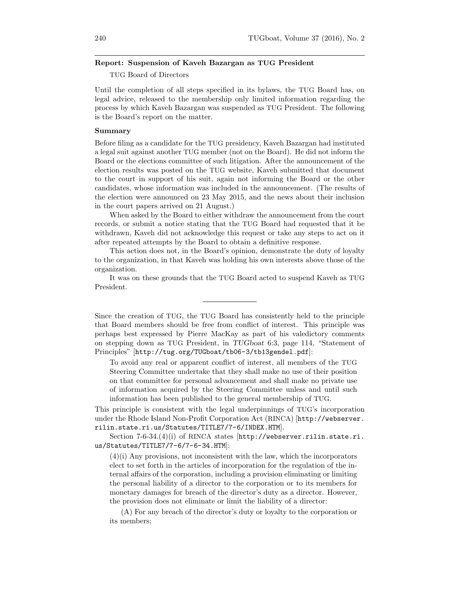#### Report: Suspension of Kaveh Bazargan as TUG President

TUG Board of Directors

Until the completion of all steps specified in its bylaws, the TUG Board has, on legal advice, released to the membership only limited information regarding the process by which Kaveh Bazargan was suspended as TUG President. The following is the Board's report on the matter.

#### Summary

Before filing as a candidate for the TUG presidency, Kaveh Bazargan had instituted a legal suit against another TUG member (not on the Board). He did not inform the Board or the elections committee of such litigation. After the announcement of the election results was posted on the TUG website, Kaveh submitted that document to the court in support of his suit, again not informing the Board or the other candidates, whose information was included in the announcement. (The results of the election were announced on 23 May 2015, and the news about their inclusion in the court papers arrived on 21 August.)

When asked by the Board to either withdraw the announcement from the court records, or submit a notice stating that the TUG Board had requested that it be withdrawn, Kaveh did not acknowledge this request or take any steps to act on it after repeated attempts by the Board to obtain a definitive response.

This action does not, in the Board's opinion, demonstrate the duty of loyalty to the organization, in that Kaveh was holding his own interests above those of the organization.

It was on these grounds that the TUG Board acted to suspend Kaveh as TUG President.

Since the creation of TUG, the TUG Board has consistently held to the principle that Board members should be free from conflict of interest. This principle was perhaps best expressed by Pierre MacKay as part of his valedictory comments on stepping down as TUG President, in TUGboat 6:3, page 114, "Statement of Principles" [http://tug.org/TUGboat/tb06-3/tb13gendel.pdf]:

To avoid any real or apparent conflict of interest, all members of the TUG Steering Committee undertake that they shall make no use of their position on that committee for personal advancement and shall make no private use of information acquired by the Steering Committee unless and until such information has been published to the general membership of TUG.

This principle is consistent with the legal underpinnings of TUG's incorporation under the Rhode Island Non-Profit Corporation Act (RINCA) [http://webserver. rilin.state.ri.us/Statutes/TITLE7/7-6/INDEX.HTM].

Section 7-6-34. $(4)(i)$  of RINCA states  $\frac{h \cdot f}{h}$  http://webserver.rilin.state.ri. us/Statutes/TITLE7/7-6/7-6-34.HTM]:

 $(4)(i)$  Any provisions, not inconsistent with the law, which the incorporators elect to set forth in the articles of incorporation for the regulation of the internal affairs of the corporation, including a provision eliminating or limiting the personal liability of a director to the corporation or to its members for monetary damages for breach of the director's duty as a director. However, the provision does not eliminate or limit the liability of a director:

(A) For any breach of the director's duty or loyalty to the corporation or its members;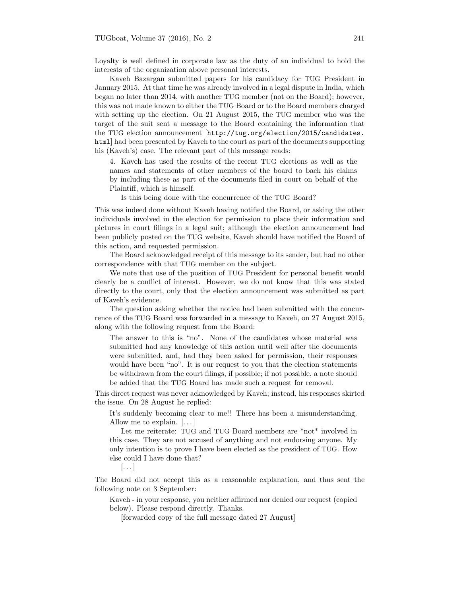Loyalty is well defined in corporate law as the duty of an individual to hold the interests of the organization above personal interests.

Kaveh Bazargan submitted papers for his candidacy for TUG President in January 2015. At that time he was already involved in a legal dispute in India, which began no later than 2014, with another TUG member (not on the Board); however, this was not made known to either the TUG Board or to the Board members charged with setting up the election. On 21 August 2015, the TUG member who was the target of the suit sent a message to the Board containing the information that the TUG election announcement [http://tug.org/election/2015/candidates. html] had been presented by Kaveh to the court as part of the documents supporting his (Kaveh's) case. The relevant part of this message reads:

4. Kaveh has used the results of the recent TUG elections as well as the names and statements of other members of the board to back his claims by including these as part of the documents filed in court on behalf of the Plaintiff, which is himself.

Is this being done with the concurrence of the TUG Board?

This was indeed done without Kaveh having notified the Board, or asking the other individuals involved in the election for permission to place their information and pictures in court filings in a legal suit; although the election announcement had been publicly posted on the TUG website, Kaveh should have notified the Board of this action, and requested permission.

The Board acknowledged receipt of this message to its sender, but had no other correspondence with that TUG member on the subject.

We note that use of the position of TUG President for personal benefit would clearly be a conflict of interest. However, we do not know that this was stated directly to the court, only that the election announcement was submitted as part of Kaveh's evidence.

The question asking whether the notice had been submitted with the concurrence of the TUG Board was forwarded in a message to Kaveh, on 27 August 2015, along with the following request from the Board:

The answer to this is "no". None of the candidates whose material was submitted had any knowledge of this action until well after the documents were submitted, and, had they been asked for permission, their responses would have been "no". It is our request to you that the election statements be withdrawn from the court filings, if possible; if not possible, a note should be added that the TUG Board has made such a request for removal.

This direct request was never acknowledged by Kaveh; instead, his responses skirted the issue. On 28 August he replied:

It's suddenly becoming clear to me!! There has been a misunderstanding. Allow me to explain.  $[\dots]$ 

Let me reiterate: TUG and TUG Board members are \*not\* involved in this case. They are not accused of anything and not endorsing anyone. My only intention is to prove I have been elected as the president of TUG. How else could I have done that?

 $\left[\ldots\right]$ 

The Board did not accept this as a reasonable explanation, and thus sent the following note on 3 September:

Kaveh - in your response, you neither affirmed nor denied our request (copied below). Please respond directly. Thanks.

[forwarded copy of the full message dated 27 August]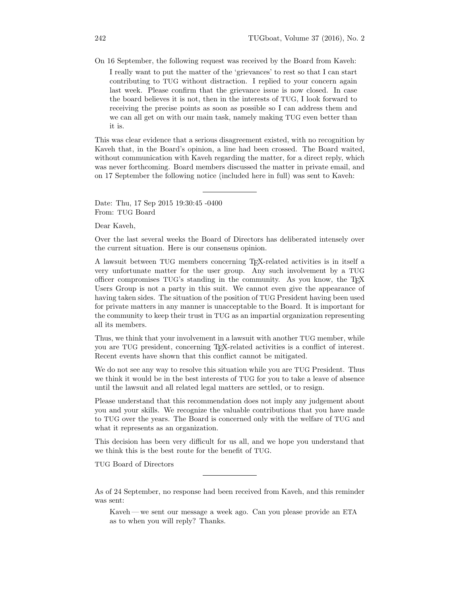On 16 September, the following request was received by the Board from Kaveh: I really want to put the matter of the 'grievances' to rest so that I can start contributing to TUG without distraction. I replied to your concern again last week. Please confirm that the grievance issue is now closed. In case the board believes it is not, then in the interests of TUG, I look forward to receiving the precise points as soon as possible so I can address them and we can all get on with our main task, namely making TUG even better than it is.

This was clear evidence that a serious disagreement existed, with no recognition by Kaveh that, in the Board's opinion, a line had been crossed. The Board waited, without communication with Kaveh regarding the matter, for a direct reply, which was never forthcoming. Board members discussed the matter in private email, and on 17 September the following notice (included here in full) was sent to Kaveh:

Date: Thu, 17 Sep 2015 19:30:45 -0400 From: TUG Board

Dear Kaveh,

Over the last several weeks the Board of Directors has deliberated intensely over the current situation. Here is our consensus opinion.

A lawsuit between TUG members concerning TEX-related activities is in itself a very unfortunate matter for the user group. Any such involvement by a TUG officer compromises TUG's standing in the community. As you know, the TEX Users Group is not a party in this suit. We cannot even give the appearance of having taken sides. The situation of the position of TUG President having been used for private matters in any manner is unacceptable to the Board. It is important for the community to keep their trust in TUG as an impartial organization representing all its members.

Thus, we think that your involvement in a lawsuit with another TUG member, while you are TUG president, concerning TEX-related activities is a conflict of interest. Recent events have shown that this conflict cannot be mitigated.

We do not see any way to resolve this situation while you are TUG President. Thus we think it would be in the best interests of TUG for you to take a leave of absence until the lawsuit and all related legal matters are settled, or to resign.

Please understand that this recommendation does not imply any judgement about you and your skills. We recognize the valuable contributions that you have made to TUG over the years. The Board is concerned only with the welfare of TUG and what it represents as an organization.

This decision has been very difficult for us all, and we hope you understand that we think this is the best route for the benefit of TUG.

TUG Board of Directors

As of 24 September, no response had been received from Kaveh, and this reminder was sent:

Kaveh — we sent our message a week ago. Can you please provide an ETA as to when you will reply? Thanks.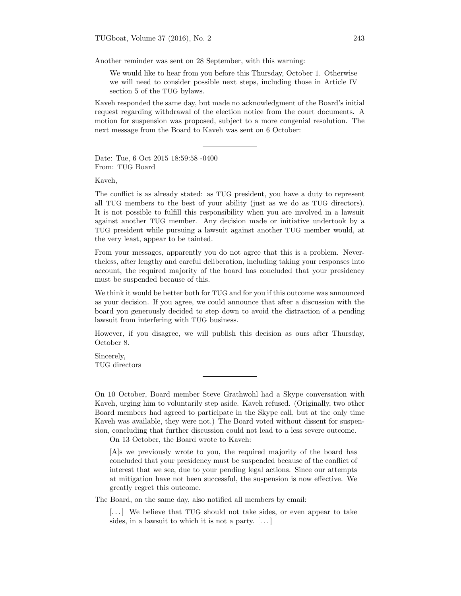Another reminder was sent on 28 September, with this warning:

We would like to hear from you before this Thursday, October 1. Otherwise we will need to consider possible next steps, including those in Article IV section 5 of the TUG bylaws.

Kaveh responded the same day, but made no acknowledgment of the Board's initial request regarding withdrawal of the election notice from the court documents. A motion for suspension was proposed, subject to a more congenial resolution. The next message from the Board to Kaveh was sent on 6 October:

Date: Tue, 6 Oct 2015 18:59:58 -0400 From: TUG Board

Kaveh,

The conflict is as already stated: as TUG president, you have a duty to represent all TUG members to the best of your ability (just as we do as TUG directors). It is not possible to fulfill this responsibility when you are involved in a lawsuit against another TUG member. Any decision made or initiative undertook by a TUG president while pursuing a lawsuit against another TUG member would, at the very least, appear to be tainted.

From your messages, apparently you do not agree that this is a problem. Nevertheless, after lengthy and careful deliberation, including taking your responses into account, the required majority of the board has concluded that your presidency must be suspended because of this.

We think it would be better both for TUG and for you if this outcome was announced as your decision. If you agree, we could announce that after a discussion with the board you generously decided to step down to avoid the distraction of a pending lawsuit from interfering with TUG business.

However, if you disagree, we will publish this decision as ours after Thursday, October 8.

Sincerely, TUG directors

On 10 October, Board member Steve Grathwohl had a Skype conversation with Kaveh, urging him to voluntarily step aside. Kaveh refused. (Originally, two other Board members had agreed to participate in the Skype call, but at the only time Kaveh was available, they were not.) The Board voted without dissent for suspension, concluding that further discussion could not lead to a less severe outcome.

On 13 October, the Board wrote to Kaveh:

[A]s we previously wrote to you, the required majority of the board has concluded that your presidency must be suspended because of the conflict of interest that we see, due to your pending legal actions. Since our attempts at mitigation have not been successful, the suspension is now effective. We greatly regret this outcome.

The Board, on the same day, also notified all members by email:

[...] We believe that TUG should not take sides, or even appear to take sides, in a law suit to which it is not a party.  $[\dots]$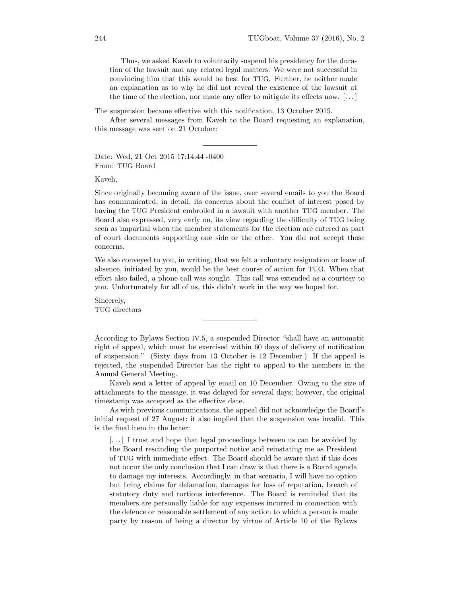Thus, we asked Kaveh to voluntarily suspend his presidency for the duration of the lawsuit and any related legal matters. We were not successful in convincing him that this would be best for TUG. Further, he neither made an explanation as to why he did not reveal the existence of the lawsuit at the time of the election, nor made any offer to mitigate its effects now.  $[\dots]$ 

The suspension became effective with this notification, 13 October 2015.

After several messages from Kaveh to the Board requesting an explanation, this message was sent on 21 October:

Date: Wed, 21 Oct 2015 17:14:44 -0400 From: TUG Board

Kaveh,

Since originally becoming aware of the issue, over several emails to you the Board has communicated, in detail, its concerns about the conflict of interest posed by having the TUG President embroiled in a lawsuit with another TUG member. The Board also expressed, very early on, its view regarding the difficulty of TUG being seen as impartial when the member statements for the election are entered as part of court documents supporting one side or the other. You did not accept those concerns.

We also conveyed to you, in writing, that we felt a voluntary resignation or leave of absence, initiated by you, would be the best course of action for TUG. When that effort also failed, a phone call was sought. This call was extended as a courtesy to you. Unfortunately for all of us, this didn't work in the way we hoped for.

Sincerely, TUG directors

According to Bylaws Section IV.5, a suspended Director "shall have an automatic right of appeal, which must be exercised within 60 days of delivery of notification of suspension." (Sixty days from 13 October is 12 December.) If the appeal is rejected, the suspended Director has the right to appeal to the members in the Annual General Meeting.

Kaveh sent a letter of appeal by email on 10 December. Owing to the size of attachments to the message, it was delayed for several days; however, the original timestamp was accepted as the effective date.

As with previous communications, the appeal did not acknowledge the Board's initial request of 27 August; it also implied that the suspension was invalid. This is the final item in the letter:

[. . . ] I trust and hope that legal proceedings between us can be avoided by the Board rescinding the purported notice and reinstating me as President of TUG with immediate effect. The Board should be aware that if this does not occur the only conclusion that I can draw is that there is a Board agenda to damage my interests. Accordingly, in that scenario, I will have no option but bring claims for defamation, damages for loss of reputation, breach of statutory duty and tortious interference. The Board is reminded that its members are personally liable for any expenses incurred in connection with the defence or reasonable settlement of any action to which a person is made party by reason of being a director by virtue of Article 10 of the Bylaws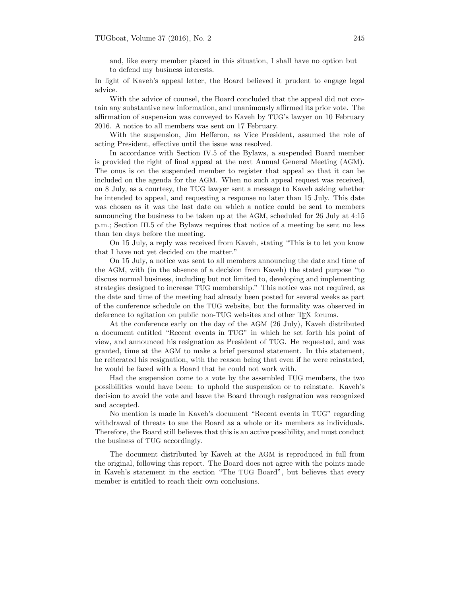and, like every member placed in this situation, I shall have no option but to defend my business interests.

In light of Kaveh's appeal letter, the Board believed it prudent to engage legal advice.

With the advice of counsel, the Board concluded that the appeal did not contain any substantive new information, and unanimously affirmed its prior vote. The affirmation of suspension was conveyed to Kaveh by TUG's lawyer on 10 February 2016. A notice to all members was sent on 17 February.

With the suspension, Jim Hefferon, as Vice President, assumed the role of acting President, effective until the issue was resolved.

In accordance with Section IV.5 of the Bylaws, a suspended Board member is provided the right of final appeal at the next Annual General Meeting (AGM). The onus is on the suspended member to register that appeal so that it can be included on the agenda for the AGM. When no such appeal request was received, on 8 July, as a courtesy, the TUG lawyer sent a message to Kaveh asking whether he intended to appeal, and requesting a response no later than 15 July. This date was chosen as it was the last date on which a notice could be sent to members announcing the business to be taken up at the AGM, scheduled for 26 July at 4:15 p.m.; Section III.5 of the Bylaws requires that notice of a meeting be sent no less than ten days before the meeting.

On 15 July, a reply was received from Kaveh, stating "This is to let you know that I have not yet decided on the matter."

On 15 July, a notice was sent to all members announcing the date and time of the AGM, with (in the absence of a decision from Kaveh) the stated purpose "to discuss normal business, including but not limited to, developing and implementing strategies designed to increase TUG membership." This notice was not required, as the date and time of the meeting had already been posted for several weeks as part of the conference schedule on the TUG website, but the formality was observed in deference to agitation on public non-TUG websites and other TFX forums.

At the conference early on the day of the AGM (26 July), Kaveh distributed a document entitled "Recent events in TUG" in which he set forth his point of view, and announced his resignation as President of TUG. He requested, and was granted, time at the AGM to make a brief personal statement. In this statement, he reiterated his resignation, with the reason being that even if he were reinstated, he would be faced with a Board that he could not work with.

Had the suspension come to a vote by the assembled TUG members, the two possibilities would have been: to uphold the suspension or to reinstate. Kaveh's decision to avoid the vote and leave the Board through resignation was recognized and accepted.

No mention is made in Kaveh's document "Recent events in TUG" regarding withdrawal of threats to sue the Board as a whole or its members as individuals. Therefore, the Board still believes that this is an active possibility, and must conduct the business of TUG accordingly.

The document distributed by Kaveh at the AGM is reproduced in full from the original, following this report. The Board does not agree with the points made in Kaveh's statement in the section "The TUG Board", but believes that every member is entitled to reach their own conclusions.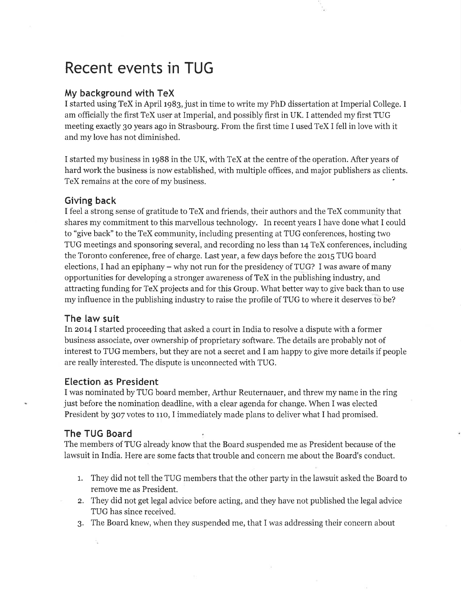# Recent events in TUG

## Mv background with TeX

I started using TeX in April 1983, just in time to write my PhD dissertation at Imperial College. I am officially the first TeX user at Imperial, and possibly first in UK. I attended my first TUG meeting exactly 30 years ago in Strasbourg. From the first time I used TeX I fell in love with it and my love has not diminished.

I started my business in 1988 in the UK, with TeX at the centre of the operation. After years of hard work the business is now established, with multiple offices, and major publishers as clients. TeX remains at the core of my business.

## **Giving back**

I feel a strong sense of gratitude to TeX and friends, their authors and the TeX community that shares my commitment to this marvellous technology. In recent years I have done what I could to "give back" to the TeX community, including presenting at TUG conferences, hosting two TUG meetings and sponsoring several, and recording no less than 14 TeX conferences, including the Toronto conference, free of charge. Last year, a few days before the 2015 TUG board elections, I had an epiphany  $-$  why not run for the presidency of TUG? I was aware of many opportunities for developing a stronger awareness of TeX in the publishing industry, and attracting funding for TeX projects and for this Group. What better way to give back than to use my influence in the publishing industry to raise the profile of TUG to where it deserves to be?

## The law suit

In 2014 I started proceeding that asked a court in India to resolve a dispute with a former business associate, over ownership of proprietary software. The details are probably not of interest to TUG members, but they are not a secret and I am happy to give more details if people are really interested. The dispute is unconnected with TUG.

### **Election as President**

I was nominated by TUG board member, Arthur Reuternauer, and threw my name in the ring just before the nomination deadline, with a clear agenda for change. When I was elected President by 307 votes to 110, I immediately made plans to deliver what I had promised.

#### The TUG Board

The members of TUG already know that the Board suspended me as President because of the lawsuit in India. Here are some facts that trouble and concern me about the Board's conduct.

- 1. They did not tell the TUG members that the other party in the lawsuit asked the Board to remove me as President.
- 2. They did not get legal advice before acting, and they have not published the legal advice TUG has since received.
- 3. The Board knew, when they suspended me, that I was addressing their concern about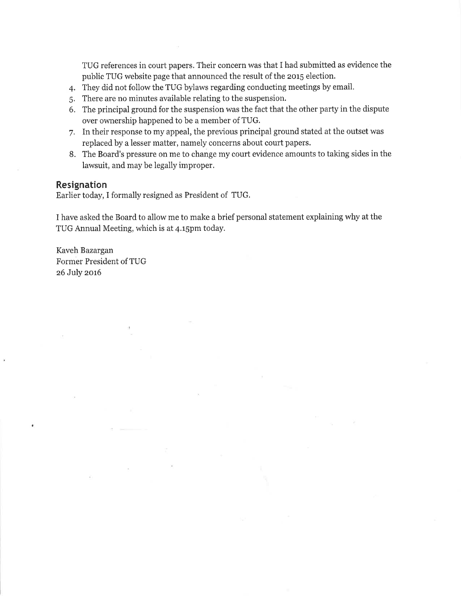TUG references in court papers. Their concern was that I had submitted as evidence the public TUG website page that announced the result of the 2015 election.

- 4. They did not follow the TUG bylaws regarding conducting meetings by email.
- 5. There are no minutes available relating to the suspension.
- 6. The principal ground for the suspension was the fact that the other party in the dispute over ownership happened to be a member of TUG.
- 7. In their response to my appeal, the previous principal ground stated at the outset was replaced by a lesser matter, namely concerns about court papers.
- 8. The Board's pressure on me to change my court evidence amounts to taking sides in the lawsuit, and may be legally improper.

## **Resignation**

Earlier today, I formally resigned as President of TUG.

I have asked the Board to allow me to make a brief personal statement explaining why at the TUG Annual Meeting, which is at 4.15pm today.

Kaveh Bazargan Former President of TUG 26 July 2016